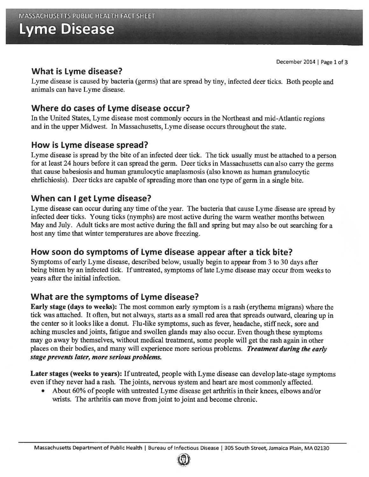# Lyme Disease

#### What is Lyme disease?

Lyme disease is caused by bacteria (germs) that are spread by tiny, infected deer ticks. Both people and animals can have Lyme disease.

## Where do cases of Lyme disease occur?

In the United States, Lyme disease most commonly occurs in the Northeast and mid-Atlantic regions and in the upper Midwest. In Massachusetts, Lyme disease occurs throughout the state.

#### How is Lyme disease spread?

Lyme disease is sprea<sup>d</sup> by the bite of an infected deer tick. The tick usually must be attached to <sup>a</sup> person for at least <sup>24</sup> hours before it can sprea<sup>d</sup> the germ. Deer ticks in Massachusetts can also carry the germs that cause babesiosis and human granulocytic anaplasmosis (also known as human granulocytic ehrlichiosis). Deer ticks are capable of spreading more than one type of germ in a single bite.

#### When can I ge<sup>t</sup> Lyme disease?

Lyme disease can occur during any time ofthe year. The bacteria that cause Lyme disease are sprea<sup>d</sup> by infected deer ticks. Young ticks (nymphs) are most active during the warm weather months between May and July. Adult ticks are most active during the fall and spring but may also be out searching for <sup>a</sup> host any time that winter temperatures are above freezing.

## How soon do symptoms of Lyme disease appear after <sup>a</sup> tick bite?

Symptoms of early Lyme disease, described below, usually begin to appear from 3 to 30 days after being bitten by an infected tick. If untreated, symptoms of late Lyme disease may occur from weeks to years after the initial infection.

## What are the symptoms of Lyme disease?

Early stage (days to weeks): The most common early symptom is <sup>a</sup> rash (erythema migrans) where the tick was attached. It often, but not always, starts as <sup>a</sup> small red area that spreads outward, clearing up in the center so it looks like <sup>a</sup> donut. Flu-like symptoms, such as fever, headache, stiff neck, sore and aching muscles and joints, fatigue and swollen glands may also occur. Even though these symptoms may go away by themselves, without medical treatment, some people will ge<sup>t</sup> the rash again in other places on their bodies, and many will experience more serious problems. Treatment during the early stage prevents later, more serious problems.

Later stages (weeks to years): If untreated, people with Lyme disease can develop late-stage symptoms even ifthey never had <sup>a</sup> rash. The joints, nervous system and heart are most commonly affected.

•About 60% of people with untreated Lyme disease get arthritis in their knees, elbows and/or wrists. The arthritis can move from joint to joint and become chronic.

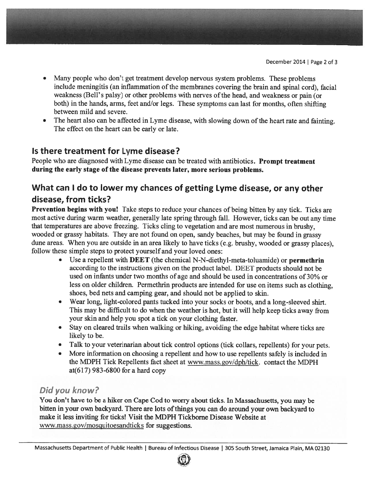- Many people who don't ge<sup>t</sup> treatment develop nervous system problems. These problems include meningitis (an inflammation of the membranes covering the brain and spinal cord), facial weakness (Bell's palsy) or other problems with nerves of the head, and weakness or pain (or both) in the hands, arms, feet and/or legs. These symptoms can last for months, often shifting between mild and severe.
- •The heart also can be affected in Lyme disease, with slowing down of the heart rate and fainting. The effect on the heart can be early or late.

#### Is there treatment for Lyme disease?

People who are diagnosed with Lyme disease can be treated with antibiotics. Prompt treatment during the early stage of the disease prevents later, more serious problems.

## What can <sup>I</sup> do to lower my chances of getting Lyme disease, or any other disease, from ticks?

Prevention begins with you! Take steps to reduce your chances of being bitten by any tick. Ticks are most active during warm weather, generally late spring through fall. However, ticks can be out any time that temperatures are above freezing. Ticks cling to vegetation and are most numerous in brushy, wooded or grassy habitats. They are not found on open, sandy beaches, but may be found in grassy dune areas. When you are outside in an area likely to have ticks (e.g. brushy, wooded or grassy <sup>p</sup>laces), follow these simple steps to protect yourself and your loved ones:

- • Use <sup>a</sup> repellent with DEET (the chemical N-N-diethyl-meta-toluamide) or permethrin according to the instructions given on the product label. DEET products should not be used on infants under two months of age and should be used in concentrations of 30% or less on older children. Permethrin products are intended for use on items such as clothing, shoes, bed nets and camping gear, and should not be applied to skin.
- Wear long, light-colored pants tucked into your socks or boots, and <sup>a</sup> long-sleeved shirt. This may be difficult to do when the weather is hot, but it will help keep ticks away from your skin and help you spo<sup>t</sup> <sup>a</sup> tick on your clothing faster.
- Stay on cleared trails when walking or hiking, avoiding the edge habitat where ticks are likely to be.
- •Talk to your veterinarian about tick control options (tick collars, repellents) for your pets.
- • More information on choosing <sup>a</sup> repellent and how to use repellents safely is included in the MDPH Tick Repellents fact sheet at www.mass.gov/dph/tick. contact the MDPH at(617) 983-6800 for <sup>a</sup> hard copy

## Did you know?

You don't have to be <sup>a</sup> hiker on Cape Cod to worry about ticks. In Massachusetts, you may be bitten in your own backyard. There are lots ofthings you can do around your own backyard to make it less inviting for ticks! Visit the MDPH Tickborne Disease Website at www.mass.gov/mosquitoesandticks for suggestions.